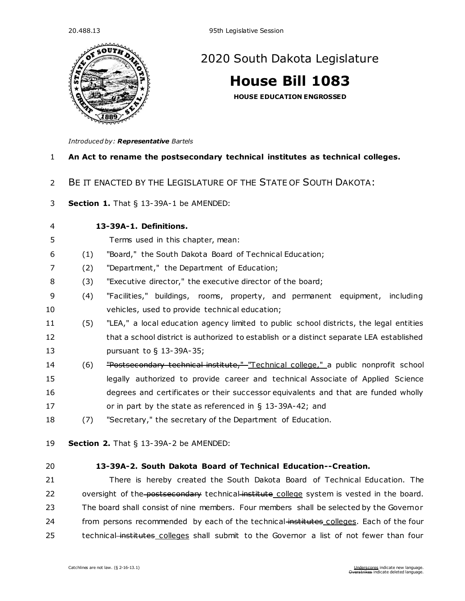

# [2020 South Dakota Legislature](https://sdlegislature.gov/Legislative_Session/Bills/Default.aspx?Session=2020)

# **[House Bill 1083](https://sdlegislature.gov/Legislative_Session/Bills/Bill.aspx?Bill=1083&Session=2020)**

**HOUSE EDUCATION ENGROSSED**

*Introduced by: Representative [Bartels](https://sdlegislature.gov/Legislators/Legislators/MemberDetail.aspx?Session=2020&Member=1700&Cleaned=True)*

# **An Act to rename the postsecondary technical institutes as technical colleges.**

- BE IT ENACTED BY THE LEGISLATURE OF THE STATE OF SOUTH DAKOTA:
- **Section 1.** [That § 13-39A-1 be AMENDED:](https://sdlegislature.gov/Statutes/Codified_Laws/DisplayStatute.aspx?Type=Statute&Statute=13-39A-1)

**[13-39A-1. D](https://sdlegislature.gov/Statutes/Codified_Laws/DisplayStatute.aspx?Type=Statute&Statute=13-39A-1)efinitions.** 

- Terms used in this chapter, mean:
- (1) "Board," the South Dakota Board of Technical Education;
- (2) "Department," the Department of Education;
- (3) "Executive director," the executive director of the board;
- (4) "Facilities," buildings, rooms, property, and permanent equipment, including vehicles, used to provide technical education;
- (5) "LEA," a local education agency limited to public school districts, the legal entities 12 that a school district is authorized to establish or a distinct separate LEA established pursuant to § [13-39A-35;](https://sdlegislature.gov/Statutes/Codified_Laws/DisplayStatute.aspx?Type=Statute&Statute=13-39A-35)
- 14 (6) <del>"Postsecondary technical institute," "Technical college,"</del> a public nonprofit school legally authorized to provide career and technical Associate of Applied Science degrees and certificates or their successor equivalents and that are funded wholly or in part by the state as referenced in § [13-39A-42;](https://sdlegislature.gov/Statutes/Codified_Laws/DisplayStatute.aspx?Type=Statute&Statute=13-39A-42) and
- (7) "Secretary," the secretary of the Department of Education.
- **Section 2.** [That § 13-39A-2 be AMENDED:](https://sdlegislature.gov/Statutes/Codified_Laws/DisplayStatute.aspx?Type=Statute&Statute=13-39A-2)

# **[13-39A-2. S](https://sdlegislature.gov/Statutes/Codified_Laws/DisplayStatute.aspx?Type=Statute&Statute=13-39A-2)outh Dakota Board of Technical Education--Creation.**

 There is hereby created the South Dakota Board of Technical Education. The 22 oversight of the postsecondary technical institute college system is vested in the board. The board shall consist of nine members. Four members shall be selected by the Governor 24 from persons recommended by each of the technical-institutes colleges. Each of the four 25 technical institutes colleges shall submit to the Governor a list of not fewer than four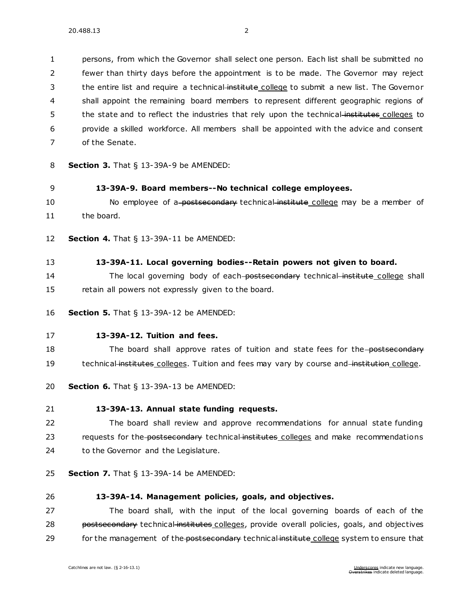persons, from which the Governor shall select one person. Each list shall be submitted no fewer than thirty days before the appointment is to be made. The Governor may reject 3 the entire list and require a technical-institute college to submit a new list. The Governor shall appoint the remaining board members to represent different geographic regions of 5 the state and to reflect the industries that rely upon the technical-institutes colleges to provide a skilled workforce. All members shall be appointed with the advice and consent of the Senate.

- 8 **Section 3.** [That § 13-39A-9 be AMENDED:](https://sdlegislature.gov/Statutes/Codified_Laws/DisplayStatute.aspx?Type=Statute&Statute=13-39A-9)
- 9 **[13-39A-9. B](https://sdlegislature.gov/Statutes/Codified_Laws/DisplayStatute.aspx?Type=Statute&Statute=13-39A-9)oard members--No technical college employees.**
- 10 No employee of a postsecondary technical institute college may be a member of 11 the board.
- 12 **Section 4.** [That § 13-39A-11 be AMENDED:](https://sdlegislature.gov/Statutes/Codified_Laws/DisplayStatute.aspx?Type=Statute&Statute=13-39A-11)
- 13 **[13-39A-11. L](https://sdlegislature.gov/Statutes/Codified_Laws/DisplayStatute.aspx?Type=Statute&Statute=13-39A-11)ocal governing bodies--Retain powers not given to board.**
- 14 The local governing body of each-postsecondary technical institute college shall 15 retain all powers not expressly given to the board.
- 16 **Section 5.** [That § 13-39A-12 be AMENDED:](https://sdlegislature.gov/Statutes/Codified_Laws/DisplayStatute.aspx?Type=Statute&Statute=13-39A-12)
- 17 **[13-39A-12. T](https://sdlegislature.gov/Statutes/Codified_Laws/DisplayStatute.aspx?Type=Statute&Statute=13-39A-12)uition and fees.**

18 The board shall approve rates of tuition and state fees for the postsecondary 19 technical institutes colleges. Tuition and fees may vary by course and institution college.

- 20 **Section 6.** [That § 13-39A-13 be AMENDED:](https://sdlegislature.gov/Statutes/Codified_Laws/DisplayStatute.aspx?Type=Statute&Statute=13-39A-13)
- 21 **[13-39A-13. A](https://sdlegislature.gov/Statutes/Codified_Laws/DisplayStatute.aspx?Type=Statute&Statute=13-39A-13)nnual state funding requests.**
- 22 The board shall review and approve recommendations for annual state funding 23 requests for the postsecondary technical institutes colleges and make recommendations 24 to the Governor and the Legislature.
- 25 **Section 7.** [That § 13-39A-14 be AMENDED:](https://sdlegislature.gov/Statutes/Codified_Laws/DisplayStatute.aspx?Type=Statute&Statute=13-39A-14)
- 

#### 26 **[13-39A-14. M](https://sdlegislature.gov/Statutes/Codified_Laws/DisplayStatute.aspx?Type=Statute&Statute=13-39A-14)anagement policies, goals, and objectives.**

27 The board shall, with the input of the local governing boards of each of the 28 postsecondary technical institutes colleges, provide overall policies, goals, and objectives 29 for the management of the postsecondary technical institute college system to ensure that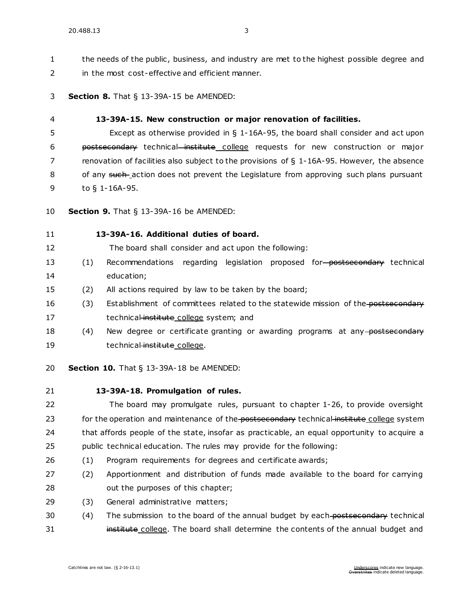1 the needs of the public, business, and industry are met to the highest possible degree and in the most cost-effective and efficient manner.

**Section 8.** [That § 13-39A-15 be AMENDED:](https://sdlegislature.gov/Statutes/Codified_Laws/DisplayStatute.aspx?Type=Statute&Statute=13-39A-15)

#### **[13-39A-15. N](https://sdlegislature.gov/Statutes/Codified_Laws/DisplayStatute.aspx?Type=Statute&Statute=13-39A-15)ew construction or major renovation of facilities.**

 Except as otherwise provided in § [1-16A-95,](https://sdlegislature.gov/Statutes/Codified_Laws/DisplayStatute.aspx?Type=Statute&Statute=1-16A-95) the board shall consider and act upon postsecondary technical institute college requests for new construction or major renovation of facilities also subject to the provisions of § [1-16A-95.](https://sdlegislature.gov/Statutes/Codified_Laws/DisplayStatute.aspx?Type=Statute&Statute=1-16A-95) However, the absence 8 of any such action does not prevent the Legislature from approving such plans pursuant to § [1-16A-95.](https://sdlegislature.gov/Statutes/Codified_Laws/DisplayStatute.aspx?Type=Statute&Statute=1-16A-95)

**Section 9.** [That § 13-39A-16 be AMENDED:](https://sdlegislature.gov/Statutes/Codified_Laws/DisplayStatute.aspx?Type=Statute&Statute=13-39A-16)

# **[13-39A-16. A](https://sdlegislature.gov/Statutes/Codified_Laws/DisplayStatute.aspx?Type=Statute&Statute=13-39A-16)dditional duties of board.**

The board shall consider and act upon the following:

- 13 (1) Recommendations regarding legislation proposed for postsecondary technical education;
- (2) All actions required by law to be taken by the board;
- 16 (3) Establishment of committees related to the statewide mission of the postsecondary 17 technical institute college system; and
- 18 (4) New degree or certificate granting or awarding programs at any postsecondary 19 technical institute college.
- **Section 10.** [That § 13-39A-18 be AMENDED:](https://sdlegislature.gov/Statutes/Codified_Laws/DisplayStatute.aspx?Type=Statute&Statute=13-39A-18)
- 

#### **[13-39A-18. P](https://sdlegislature.gov/Statutes/Codified_Laws/DisplayStatute.aspx?Type=Statute&Statute=13-39A-18)romulgation of rules.**

 The board may promulgate rules, pursuant to chapter [1-26,](https://sdlegislature.gov/Statutes/Codified_Laws/DisplayStatute.aspx?Type=Statute&Statute=1-26) to provide oversight 23 for the operation and maintenance of the postsecondary technical institute college system that affords people of the state, insofar as practicable, an equal opportunity to acquire a public technical education. The rules may provide for the following:

- (1) Program requirements for degrees and certificate awards;
- (2) Apportionment and distribution of funds made available to the board for carrying 28 out the purposes of this chapter;
- (3) General administrative matters;
- 30 (4) The submission to the board of the annual budget by each postsecondary technical **institute college**. The board shall determine the contents of the annual budget and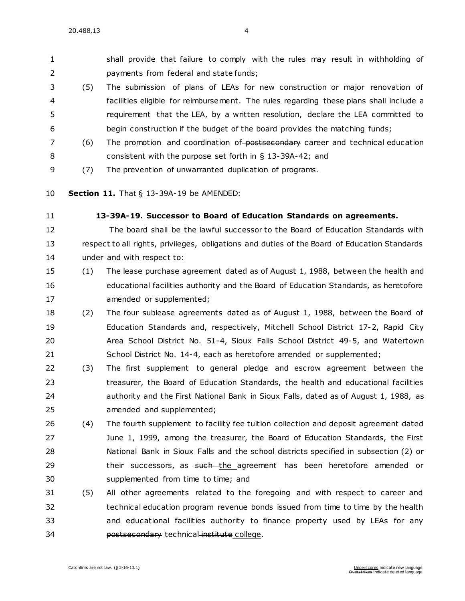shall provide that failure to comply with the rules may result in withholding of payments from federal and state funds;

- (5) The submission of plans of LEAs for new construction or major renovation of facilities eligible for reimbursement. The rules regarding these plans shall include a requirement that the LEA, by a written resolution, declare the LEA committed to begin construction if the budget of the board provides the matching funds;
- 7 (6) The promotion and coordination of-postsecondary career and technical education consistent with the purpose set forth in § [13-39A-42;](https://sdlegislature.gov/Statutes/Codified_Laws/DisplayStatute.aspx?Type=Statute&Statute=13-39A-42) and
- (7) The prevention of unwarranted duplication of programs.
- **Section 11.** [That § 13-39A-19 be AMENDED:](https://sdlegislature.gov/Statutes/Codified_Laws/DisplayStatute.aspx?Type=Statute&Statute=13-39A-19)
- 

# **[13-39A-19. S](https://sdlegislature.gov/Statutes/Codified_Laws/DisplayStatute.aspx?Type=Statute&Statute=13-39A-19)uccessor to Board of Education Standards on agreements.**

# The board shall be the lawful successor to the Board of Education Standards with respect to all rights, privileges, obligations and duties of the Board of Education Standards under and with respect to:

- (1) The lease purchase agreement dated as of August 1, 1988, between the health and educational facilities authority and the Board of Education Standards, as heretofore 17 amended or supplemented;
- (2) The four sublease agreements dated as of August 1, 1988, between the Board of Education Standards and, respectively, Mitchell School District [17-2,](https://sdlegislature.gov/Statutes/Codified_Laws/DisplayStatute.aspx?Type=Statute&Statute=17-2) Rapid City Area School District No. 51-4, Sioux Falls School District [49-5,](https://sdlegislature.gov/Statutes/Codified_Laws/DisplayStatute.aspx?Type=Statute&Statute=49-5) and Watertown School District No. [14-4,](https://sdlegislature.gov/Statutes/Codified_Laws/DisplayStatute.aspx?Type=Statute&Statute=14-4) each as heretofore amended or supplemented;
- (3) The first supplement to general pledge and escrow agreement between the treasurer, the Board of Education Standards, the health and educational facilities authority and the First National Bank in Sioux Falls, dated as of August 1, 1988, as amended and supplemented;
- (4) The fourth supplement to facility fee tuition collection and deposit agreement dated June 1, 1999, among the treasurer, the Board of Education Standards, the First National Bank in Sioux Falls and the school districts specified in subsection (2) or 29 their successors, as <del>such t</del>he agreement has been heretofore amended or supplemented from time to time; and
- (5) All other agreements related to the foregoing and with respect to career and technical education program revenue bonds issued from time to time by the health and educational facilities authority to finance property used by LEAs for any **postsecondary** technical institute college.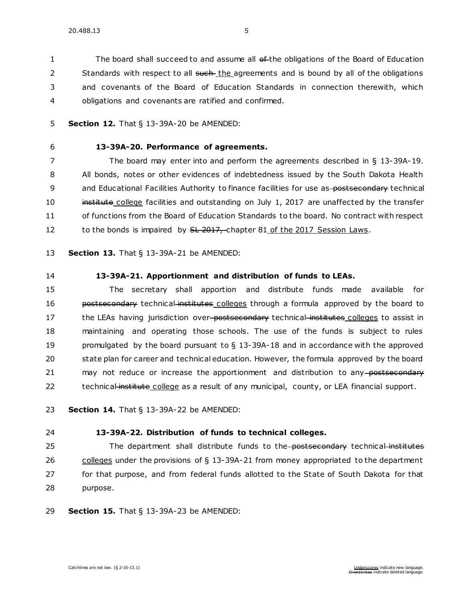1 The board shall succeed to and assume all of the obligations of the Board of Education 2 Standards with respect to all such the agreements and is bound by all of the obligations 3 and covenants of the Board of Education Standards in connection therewith, which 4 obligations and covenants are ratified and confirmed.

- 5 **Section 12.** [That § 13-39A-20 be AMENDED:](https://sdlegislature.gov/Statutes/Codified_Laws/DisplayStatute.aspx?Type=Statute&Statute=13-39A-20)
- 

# 6 **[13-39A-20. P](https://sdlegislature.gov/Statutes/Codified_Laws/DisplayStatute.aspx?Type=Statute&Statute=13-39A-20)erformance of agreements.**

7 The board may enter into and perform the agreements described in § [13-39A-19.](https://sdlegislature.gov/Statutes/Codified_Laws/DisplayStatute.aspx?Type=Statute&Statute=13-39A-19) 8 All bonds, notes or other evidences of indebtedness issued by the South Dakota Health 9 and Educational Facilities Authority to finance facilities for use as-postsecondary technical 10 institute college facilities and outstanding on July 1, 2017 are unaffected by the transfer 11 of functions from the Board of Education Standards to the board. No contract with respect 12 to the bonds is impaired by SL 2017, chapter 81 of the 2017 Session Laws.

13 **Section 13.** [That § 13-39A-21 be AMENDED:](https://sdlegislature.gov/Statutes/Codified_Laws/DisplayStatute.aspx?Type=Statute&Statute=13-39A-21)

14 **[13-39A-21. A](https://sdlegislature.gov/Statutes/Codified_Laws/DisplayStatute.aspx?Type=Statute&Statute=13-39A-21)pportionment and distribution of funds to LEAs.** 

15 The secretary shall apportion and distribute funds made available for 16 **bostsecondary** technical institutes colleges through a formula approved by the board to 17 the LEAs having jurisdiction over-postsecondary technical institutes colleges to assist in 18 maintaining and operating those schools. The use of the funds is subject to rules 19 promulgated by the board pursuant to  $\S$  [13-39A-18](https://sdlegislature.gov/Statutes/Codified_Laws/DisplayStatute.aspx?Type=Statute&Statute=13-39A-18) and in accordance with the approved 20 state plan for career and technical education. However, the formula approved by the board 21 may not reduce or increase the apportionment and distribution to any postsecondary 22 technical institute college as a result of any municipal, county, or LEA financial support.

23 **Section 14.** [That § 13-39A-22 be AMENDED:](https://sdlegislature.gov/Statutes/Codified_Laws/DisplayStatute.aspx?Type=Statute&Statute=13-39A-22)

#### 24 **[13-39A-22. D](https://sdlegislature.gov/Statutes/Codified_Laws/DisplayStatute.aspx?Type=Statute&Statute=13-39A-22)istribution of funds to technical colleges.**

25 The department shall distribute funds to the-postsecondary technical institutes 26 colleges under the provisions of § [13-39A-21](https://sdlegislature.gov/Statutes/Codified_Laws/DisplayStatute.aspx?Type=Statute&Statute=13-39A-21) from money appropriated to the department 27 for that purpose, and from federal funds allotted to the State of South Dakota for that 28 purpose.

29 **Section 15.** [That § 13-39A-23 be AMENDED:](https://sdlegislature.gov/Statutes/Codified_Laws/DisplayStatute.aspx?Type=Statute&Statute=13-39A-23)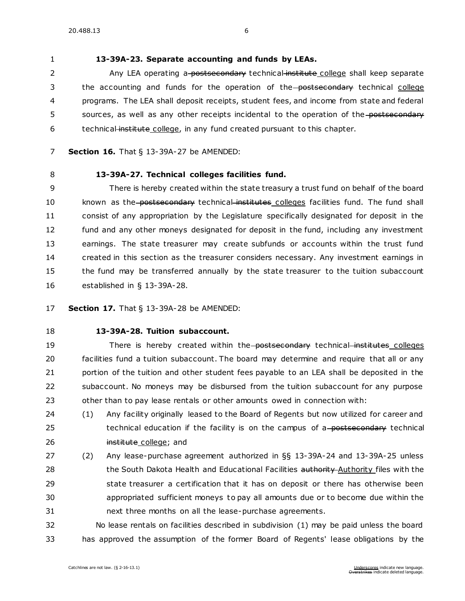# **[13-39A-23. S](https://sdlegislature.gov/Statutes/Codified_Laws/DisplayStatute.aspx?Type=Statute&Statute=13-39A-23)eparate accounting and funds by LEAs.**

2 Any LEA operating a-postsecondary technical institute college shall keep separate 3 the accounting and funds for the operation of the postsecondary technical college programs. The LEA shall deposit receipts, student fees, and income from state and federal 5 sources, as well as any other receipts incidental to the operation of the postsecondary 6 technical institute college, in any fund created pursuant to this chapter.

- **Section 16.** [That § 13-39A-27 be AMENDED:](https://sdlegislature.gov/Statutes/Codified_Laws/DisplayStatute.aspx?Type=Statute&Statute=13-39A-27)
- 

# **[13-39A-27. T](https://sdlegislature.gov/Statutes/Codified_Laws/DisplayStatute.aspx?Type=Statute&Statute=13-39A-27)echnical colleges facilities fund.**

 There is hereby created within the state treasury a trust fund on behalf of the board 10 known as the postsecondary technical institutes colleges facilities fund. The fund shall consist of any appropriation by the Legislature specifically designated for deposit in the fund and any other moneys designated for deposit in the fund, including any investment earnings. The state treasurer may create subfunds or accounts within the trust fund created in this section as the treasurer considers necessary. Any investment earnings in the fund may be transferred annually by the state treasurer to the tuition subaccount established in § [13-39A-28.](https://sdlegislature.gov/Statutes/Codified_Laws/DisplayStatute.aspx?Type=Statute&Statute=13-39A-28)

**Section 17.** [That § 13-39A-28 be AMENDED:](https://sdlegislature.gov/Statutes/Codified_Laws/DisplayStatute.aspx?Type=Statute&Statute=13-39A-28)

# **[13-39A-28. T](https://sdlegislature.gov/Statutes/Codified_Laws/DisplayStatute.aspx?Type=Statute&Statute=13-39A-28)uition subaccount.**

19 There is hereby created within the postsecondary technical institutes colleges facilities fund a tuition subaccount. The board may determine and require that all or any 21 portion of the tuition and other student fees payable to an LEA shall be deposited in the subaccount. No moneys may be disbursed from the tuition subaccount for any purpose other than to pay lease rentals or other amounts owed in connection with:

 (1) Any facility originally leased to the Board of Regents but now utilized for career and 25 technical education if the facility is on the campus of a-postsecondary technical **institute college; and** 

 (2) Any lease-purchase agreement authorized in §§ [13-39A-24](https://sdlegislature.gov/Statutes/Codified_Laws/DisplayStatute.aspx?Type=Statute&Statute=13-39A-24) and [13-39A-25](https://sdlegislature.gov/Statutes/Codified_Laws/DisplayStatute.aspx?Type=Statute&Statute=13-39A-25) unless 28 the South Dakota Health and Educational Facilities authority Authority files with the state treasurer a certification that it has on deposit or there has otherwise been appropriated sufficient moneys to pay all amounts due or to become due within the next three months on all the lease-purchase agreements.

 No lease rentals on facilities described in subdivision (1) may be paid unless the board has approved the assumption of the former Board of Regents' lease obligations by the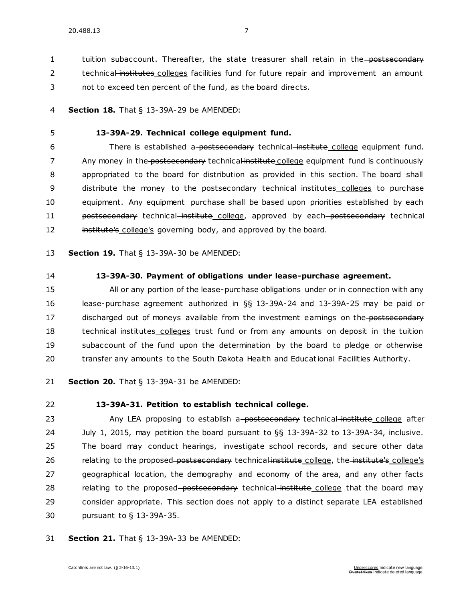1 tuition subaccount. Thereafter, the state treasurer shall retain in the postsecondary 2 technical institutes colleges facilities fund for future repair and improvement an amount

3 not to exceed ten percent of the fund, as the board directs.

4 **Section 18.** [That § 13-39A-29 be AMENDED:](https://sdlegislature.gov/Statutes/Codified_Laws/DisplayStatute.aspx?Type=Statute&Statute=13-39A-29)

#### 5 **[13-39A-29. T](https://sdlegislature.gov/Statutes/Codified_Laws/DisplayStatute.aspx?Type=Statute&Statute=13-39A-29)echnical college equipment fund.**

6 There is established a-postsecondary technical institute college equipment fund. 7 Any money in the postsecondary technical institute college equipment fund is continuously 8 appropriated to the board for distribution as provided in this section. The board shall 9 distribute the money to the postsecondary technical institutes colleges to purchase 10 equipment. Any equipment purchase shall be based upon priorities established by each 11 **postsecondary** technical institute college, approved by each postsecondary technical 12 institute's college's governing body, and approved by the board.

13 **Section 19.** [That § 13-39A-30 be AMENDED:](https://sdlegislature.gov/Statutes/Codified_Laws/DisplayStatute.aspx?Type=Statute&Statute=13-39A-30)

# 14 **[13-39A-30. P](https://sdlegislature.gov/Statutes/Codified_Laws/DisplayStatute.aspx?Type=Statute&Statute=13-39A-30)ayment of obligations under lease-purchase agreement.**

 All or any portion of the lease-purchase obligations under or in connection with any lease-purchase agreement authorized in §§ [13-39A-24](https://sdlegislature.gov/Statutes/Codified_Laws/DisplayStatute.aspx?Type=Statute&Statute=13-39A-24) and [13-39A-25](https://sdlegislature.gov/Statutes/Codified_Laws/DisplayStatute.aspx?Type=Statute&Statute=13-39A-25) may be paid or 17 discharged out of moneys available from the investment earnings on the postsecondary 18 technical institutes colleges trust fund or from any amounts on deposit in the tuition subaccount of the fund upon the determination by the board to pledge or otherwise transfer any amounts to the South Dakota Health and Educational Facilities Authority.

21 **Section 20.** [That § 13-39A-31 be AMENDED:](https://sdlegislature.gov/Statutes/Codified_Laws/DisplayStatute.aspx?Type=Statute&Statute=13-39A-31)

# 22 **[13-39A-31. P](https://sdlegislature.gov/Statutes/Codified_Laws/DisplayStatute.aspx?Type=Statute&Statute=13-39A-31)etition to establish technical college.**

23 Any LEA proposing to establish a postsecondary technical institute college after July 1, 2015, may petition the board pursuant to §§ [13-39A-32](https://sdlegislature.gov/Statutes/Codified_Laws/DisplayStatute.aspx?Type=Statute&Statute=13-39A-32) to [13-39A-34,](https://sdlegislature.gov/Statutes/Codified_Laws/DisplayStatute.aspx?Type=Statute&Statute=13-39A-34) inclusive. The board may conduct hearings, investigate school records, and secure other data 26 relating to the proposed-postsecondary technical institute college, the institute's college's geographical location, the demography and economy of the area, and any other facts 28 relating to the proposed-postsecondary technical-institute college that the board may consider appropriate. This section does not apply to a distinct separate LEA established pursuant to § [13-39A-35.](https://sdlegislature.gov/Statutes/Codified_Laws/DisplayStatute.aspx?Type=Statute&Statute=13-39A-35)

31 **Section 21.** [That § 13-39A-33 be AMENDED:](https://sdlegislature.gov/Statutes/Codified_Laws/DisplayStatute.aspx?Type=Statute&Statute=13-39A-33)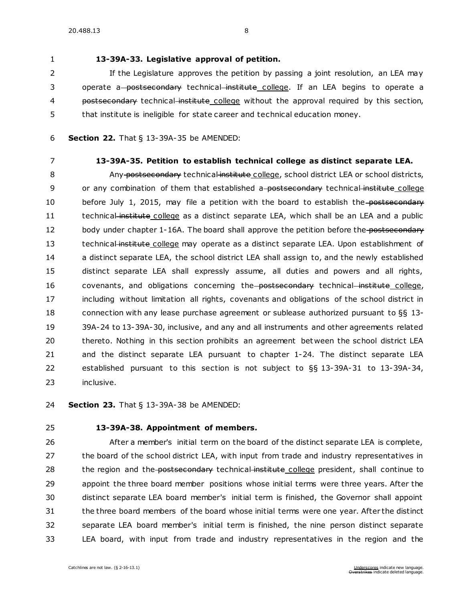# 1 **[13-39A-33. L](https://sdlegislature.gov/Statutes/Codified_Laws/DisplayStatute.aspx?Type=Statute&Statute=13-39A-33)egislative approval of petition.**

2 If the Legislature approves the petition by passing a joint resolution, an LEA may 3 operate a postsecondary technical institute college. If an LEA begins to operate a 4 postsecondary technical institute college without the approval required by this section, 5 that institute is ineligible for state career and technical education money.

- 6 **Section 22.** [That § 13-39A-35 be AMENDED:](https://sdlegislature.gov/Statutes/Codified_Laws/DisplayStatute.aspx?Type=Statute&Statute=13-39A-35)
- 

# 7 **[13-39A-35. P](https://sdlegislature.gov/Statutes/Codified_Laws/DisplayStatute.aspx?Type=Statute&Statute=13-39A-35)etition to establish technical college as distinct separate LEA.**

8 Any postsecondary technical institute college, school district LEA or school districts, 9 or any combination of them that established a-postsecondary technical institute college 10 before July 1, 2015, may file a petition with the board to establish the postsecondary 11 technical institute college as a distinct separate LEA, which shall be an LEA and a public 12 body under chapter [1-16A.](https://sdlegislature.gov/Statutes/Codified_Laws/DisplayStatute.aspx?Type=Statute&Statute=1-16A) The board shall approve the petition before the postsecondary 13 technical institute college may operate as a distinct separate LEA. Upon establishment of 14 a distinct separate LEA, the school district LEA shall assign to, and the newly established 15 distinct separate LEA shall expressly assume, all duties and powers and all rights, 16 covenants, and obligations concerning the postsecondary technical institute college, 17 including without limitation all rights, covenants and obligations of the school district in 18 connection with any lease purchase agreement or sublease authorized pursuant to §§ [13-](https://sdlegislature.gov/Statutes/Codified_Laws/DisplayStatute.aspx?Type=Statute&Statute=13-39A-24) 19 [39A-24](https://sdlegislature.gov/Statutes/Codified_Laws/DisplayStatute.aspx?Type=Statute&Statute=13-39A-24) t[o 13-39A-30,](https://sdlegislature.gov/Statutes/Codified_Laws/DisplayStatute.aspx?Type=Statute&Statute=13-39A-30) inclusive, and any and all instruments and other agreements related 20 thereto. Nothing in this section prohibits an agreement bet ween the school district LEA 21 and the distinct separate LEA pursuant to chapter [1-24.](https://sdlegislature.gov/Statutes/Codified_Laws/DisplayStatute.aspx?Type=Statute&Statute=1-24) The distinct separate LEA 22 established pursuant to this section is not subject to §§ [13-39A-31](https://sdlegislature.gov/Statutes/Codified_Laws/DisplayStatute.aspx?Type=Statute&Statute=13-39A-31) to [13-39A-34,](https://sdlegislature.gov/Statutes/Codified_Laws/DisplayStatute.aspx?Type=Statute&Statute=13-39A-34) 23 inclusive.

24 **Section 23.** [That § 13-39A-38 be AMENDED:](https://sdlegislature.gov/Statutes/Codified_Laws/DisplayStatute.aspx?Type=Statute&Statute=13-39A-38)

# 25 **[13-39A-38. A](https://sdlegislature.gov/Statutes/Codified_Laws/DisplayStatute.aspx?Type=Statute&Statute=13-39A-38)ppointment of members.**

 After a member's initial term on the board of the distinct separate LEA is complete, 27 the board of the school district LEA, with input from trade and industry representatives in 28 the region and the postsecondary technical institute college president, shall continue to appoint the three board member positions whose initial terms were three years. After the distinct separate LEA board member's initial term is finished, the Governor shall appoint the three board members of the board whose initial terms were one year. After the distinct separate LEA board member's initial term is finished, the nine person distinct separate LEA board, with input from trade and industry representatives in the region and the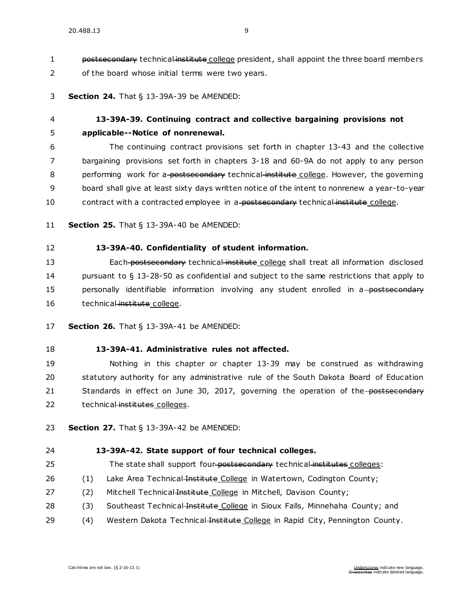1 postsecondary technical institute college president, shall appoint the three board members 2 of the board whose initial terms were two years.

#### 3 **Section 24.** [That § 13-39A-39 be AMENDED:](https://sdlegislature.gov/Statutes/Codified_Laws/DisplayStatute.aspx?Type=Statute&Statute=13-39A-39)

# 4 **[13-39A-39. C](https://sdlegislature.gov/Statutes/Codified_Laws/DisplayStatute.aspx?Type=Statute&Statute=13-39A-39)ontinuing contract and collective bargaining provisions not**  5 **applicable--Notice of nonrenewal.**

6 The continuing contract provisions set forth in chapter [13-43](https://sdlegislature.gov/Statutes/Codified_Laws/DisplayStatute.aspx?Type=Statute&Statute=13-43) and the collective 7 bargaining provisions set forth in chapters [3-18](https://sdlegislature.gov/Statutes/Codified_Laws/DisplayStatute.aspx?Type=Statute&Statute=3-18) and [60-9A](https://sdlegislature.gov/Statutes/Codified_Laws/DisplayStatute.aspx?Type=Statute&Statute=60-9A) do not apply to any person 8 performing work for a postsecondary technical institute college. However, the governing 9 board shall give at least sixty days written notice of the intent to nonrenew a year-to-year 10 contract with a contracted employee in a postsecondary technical institute college.

11 **Section 25.** [That § 13-39A-40 be AMENDED:](https://sdlegislature.gov/Statutes/Codified_Laws/DisplayStatute.aspx?Type=Statute&Statute=13-39A-40)

# 12 **[13-39A-40. C](https://sdlegislature.gov/Statutes/Codified_Laws/DisplayStatute.aspx?Type=Statute&Statute=13-39A-40)onfidentiality of student information.**

13 Each postsecondary technical institute college shall treat all information disclosed 14 pursuant to § [13-28-50](https://sdlegislature.gov/Statutes/Codified_Laws/DisplayStatute.aspx?Type=Statute&Statute=13-28-50) as confidential and subject to the same restrictions that apply to 15 personally identifiable information involving any student enrolled in a-postsecondary 16 technical institute college.

- 17 **Section 26.** [That § 13-39A-41 be AMENDED:](https://sdlegislature.gov/Statutes/Codified_Laws/DisplayStatute.aspx?Type=Statute&Statute=13-39A-41)
- 18 **[13-39A-41. A](https://sdlegislature.gov/Statutes/Codified_Laws/DisplayStatute.aspx?Type=Statute&Statute=13-39A-41)dministrative rules not affected.**

19 Nothing in this chapter or chapter [13-39](https://sdlegislature.gov/Statutes/Codified_Laws/DisplayStatute.aspx?Type=Statute&Statute=13-39) may be construed as withdrawing 20 statutory authority for any administrative rule of the South Dakota Board of Education 21 Standards in effect on June 30, 2017, governing the operation of the postsecondary 22 technical institutes colleges.

23 **Section 27.** [That § 13-39A-42 be AMENDED:](https://sdlegislature.gov/Statutes/Codified_Laws/DisplayStatute.aspx?Type=Statute&Statute=13-39A-42)

#### 24 **[13-39A-42. S](https://sdlegislature.gov/Statutes/Codified_Laws/DisplayStatute.aspx?Type=Statute&Statute=13-39A-42)tate support of four technical colleges.**

- 25 The state shall support four-postsecondary technical institutes colleges:
- 26 (1) Lake Area Technical Institute College in Watertown, Codington County;
- 27 (2) Mitchell Technical-Institute College in Mitchell, Davison County;
- 28 (3) Southeast Technical Institute College in Sioux Falls, Minnehaha County; and
- 29 (4) Western Dakota Technical Institute College in Rapid City, Pennington County.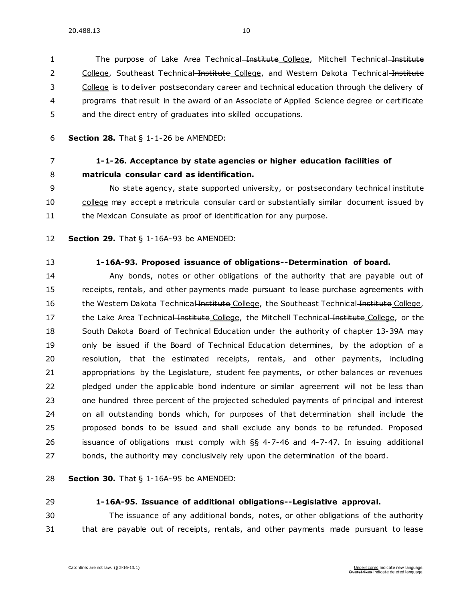1 The purpose of Lake Area Technical Institute College, Mitchell Technical Institute 2 College, Southeast Technical Institute College, and Western Dakota Technical Institute College is to deliver postsecondary career and technical education through the delivery of programs that result in the award of an Associate of Applied Science degree or certificate and the direct entry of graduates into skilled occupations.

**Section 28.** [That § 1-1-26 be AMENDED:](https://sdlegislature.gov/Statutes/Codified_Laws/DisplayStatute.aspx?Type=Statute&Statute=1-1-26)

# **[1-1-26. A](https://sdlegislature.gov/Statutes/Codified_Laws/DisplayStatute.aspx?Type=Statute&Statute=1-1-26)cceptance by state agencies or higher education facilities of matricula consular card as identification.**

9 No state agency, state supported university, or-postsecondary technical institute college may accept a matricula consular card or substantially similar document issued by 11 the Mexican Consulate as proof of identification for any purpose.

- **Section 29.** [That § 1-16A-93 be AMENDED:](https://sdlegislature.gov/Statutes/Codified_Laws/DisplayStatute.aspx?Type=Statute&Statute=1-16A-93)
- 

#### **[1-16A-93. P](https://sdlegislature.gov/Statutes/Codified_Laws/DisplayStatute.aspx?Type=Statute&Statute=1-16A-93)roposed issuance of obligations--Determination of board.**

 Any bonds, notes or other obligations of the authority that are payable out of receipts, rentals, and other payments made pursuant to lease purchase agreements with 16 the Western Dakota Technical Institute College, the Southeast Technical Institute College, 17 the Lake Area Technical Institute College, the Mitchell Technical Institute College, or the South Dakota Board of Technical Education under the authority of chapter [13-39A](https://sdlegislature.gov/Statutes/Codified_Laws/DisplayStatute.aspx?Type=Statute&Statute=13-39A) may only be issued if the Board of Technical Education determines, by the adoption of a resolution, that the estimated receipts, rentals, and other payments, including appropriations by the Legislature, student fee payments, or other balances or revenues pledged under the applicable bond indenture or similar agreement will not be less than one hundred three percent of the projected scheduled payments of principal and interest on all outstanding bonds which, for purposes of that determination shall include the proposed bonds to be issued and shall exclude any bonds to be refunded. Proposed issuance of obligations must comply with §§ [4-7-46](https://sdlegislature.gov/Statutes/Codified_Laws/DisplayStatute.aspx?Type=Statute&Statute=4-7-46) and [4-7-47.](https://sdlegislature.gov/Statutes/Codified_Laws/DisplayStatute.aspx?Type=Statute&Statute=4-7-47) In issuing additional bonds, the authority may conclusively rely upon the determination of the board.

**Section 30.** [That § 1-16A-95 be AMENDED:](https://sdlegislature.gov/Statutes/Codified_Laws/DisplayStatute.aspx?Type=Statute&Statute=1-16A-95)

# **[1-16A-95. I](https://sdlegislature.gov/Statutes/Codified_Laws/DisplayStatute.aspx?Type=Statute&Statute=1-16A-95)ssuance of additional obligations--Legislative approval.**

 The issuance of any additional bonds, notes, or other obligations of the authority that are payable out of receipts, rentals, and other payments made pursuant to lease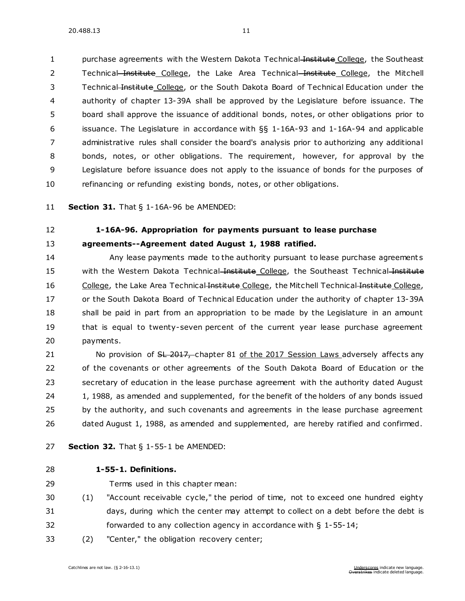1 purchase agreements with the Western Dakota Technical Institute College, the Southeast 2 Technical Institute College, the Lake Area Technical Institute College, the Mitchell Technical Institute College, or the South Dakota Board of Technical Education under the authority of chapter [13-39A](https://sdlegislature.gov/Statutes/Codified_Laws/DisplayStatute.aspx?Type=Statute&Statute=13-39A) shall be approved by the Legislature before issuance. The board shall approve the issuance of additional bonds, notes, or other obligations prior to issuance. The Legislature in accordance with §§ [1-16A-93](https://sdlegislature.gov/Statutes/Codified_Laws/DisplayStatute.aspx?Type=Statute&Statute=1-16A-93) and [1-16A-94](https://sdlegislature.gov/Statutes/Codified_Laws/DisplayStatute.aspx?Type=Statute&Statute=1-16A-94) and applicable administrative rules shall consider the board's analysis prior to authorizing any additional bonds, notes, or other obligations. The requirement, however, for approval by the Legislature before issuance does not apply to the issuance of bonds for the purposes of refinancing or refunding existing bonds, notes, or other obligations.

**Section 31.** [That § 1-16A-96 be AMENDED:](https://sdlegislature.gov/Statutes/Codified_Laws/DisplayStatute.aspx?Type=Statute&Statute=1-16A-96)

# **[1-16A-96. A](https://sdlegislature.gov/Statutes/Codified_Laws/DisplayStatute.aspx?Type=Statute&Statute=1-16A-96)ppropriation for payments pursuant to lease purchase agreements--Agreement dated August 1, 1988 ratified.**

 Any lease payments made to the authority pursuant to lease purchase agreement s 15 with the Western Dakota Technical Institute College, the Southeast Technical Institute 16 College, the Lake Area Technical Institute College, the Mitchell Technical Institute College, or the South Dakota Board of Technical Education under the authority of chapter [13-39A](https://sdlegislature.gov/Statutes/Codified_Laws/DisplayStatute.aspx?Type=Statute&Statute=13-39A) 18 shall be paid in part from an appropriation to be made by the Legislature in an amount that is equal to twenty-seven percent of the current year lease purchase agreement payments.

21 No provision of <del>SL 2017, chapter 81 of the 2017 Session Laws adversely affects any</del> of the covenants or other agreements of the South Dakota Board of Education or the secretary of education in the lease purchase agreement with the authority dated August 24 1, 1988, as amended and supplemented, for the benefit of the holders of any bonds issued 25 by the authority, and such covenants and agreements in the lease purchase agreement dated August 1, 1988, as amended and supplemented, are hereby ratified and confirmed.

- **Section 32.** [That § 1-55-1 be AMENDED:](https://sdlegislature.gov/Statutes/Codified_Laws/DisplayStatute.aspx?Type=Statute&Statute=1-55-1)
- **[1-55-1. D](https://sdlegislature.gov/Statutes/Codified_Laws/DisplayStatute.aspx?Type=Statute&Statute=1-55-1)efinitions.** 
	-
- Terms used in this chapter mean:
- (1) "Account receivable cycle," the period of time, not to exceed one hundred eighty days, during which the center may attempt to collect on a debt before the debt is forwarded to any collection agency in accordance with § [1-55-14;](https://sdlegislature.gov/Statutes/Codified_Laws/DisplayStatute.aspx?Type=Statute&Statute=1-55-14)
- (2) "Center," the obligation recovery center;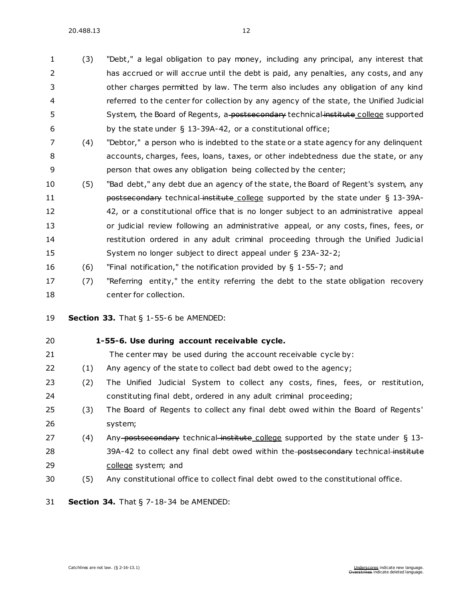20.488.13 12

 (3) "Debt," a legal obligation to pay money, including any principal, any interest that has accrued or will accrue until the debt is paid, any penalties, any costs, and any other charges permitted by law. The term also includes any obligation of any kind referred to the center for collection by any agency of the state, the Unified Judicial 5 System, the Board of Regents, a postsecondary technical institute college supported by the state under § [13-39A-42,](https://sdlegislature.gov/Statutes/Codified_Laws/DisplayStatute.aspx?Type=Statute&Statute=13-39A-42) or a constitutional office;

- (4) "Debtor," a person who is indebted to the state or a state agency for any delinquent accounts, charges, fees, loans, taxes, or other indebtedness due the state, or any person that owes any obligation being collected by the center;
- (5) "Bad debt," any debt due an agency of the state, the Board of Regent's system, any **postsecondary technical institute college supported by the state under § [13-39A-](https://sdlegislature.gov/Statutes/Codified_Laws/DisplayStatute.aspx?Type=Statute&Statute=13-39A-42)** [42,](https://sdlegislature.gov/Statutes/Codified_Laws/DisplayStatute.aspx?Type=Statute&Statute=13-39A-42) or a constitutional office that is no longer subject to an administrative appeal or judicial review following an administrative appeal, or any costs, fines, fees, or restitution ordered in any adult criminal proceeding through the Unified Judicial System no longer subject to direct appeal under § [23A-32-2;](https://sdlegislature.gov/Statutes/Codified_Laws/DisplayStatute.aspx?Type=Statute&Statute=23A-32-2)
- (6) "Final notification," the notification provided by § [1-55-7;](https://sdlegislature.gov/Statutes/Codified_Laws/DisplayStatute.aspx?Type=Statute&Statute=1-55-7) and
- (7) "Referring entity," the entity referring the debt to the state obligation recovery center for collection.

**Section 33.** That § [1-55-6 be AMENDED:](https://sdlegislature.gov/Statutes/Codified_Laws/DisplayStatute.aspx?Type=Statute&Statute=1-55-6)

- **[1-55-6. U](https://sdlegislature.gov/Statutes/Codified_Laws/DisplayStatute.aspx?Type=Statute&Statute=1-55-6)se during account receivable cycle.**  The center may be used during the account receivable cycle by: (1) Any agency of the state to collect bad debt owed to the agency;
- (2) The Unified Judicial System to collect any costs, fines, fees, or restitution, constituting final debt, ordered in any adult criminal proceeding;
- (3) The Board of Regents to collect any final debt owed within the Board of Regents' system;
- 27 (4) Any-postsecondary technical institute college supported by the state under § [13-](https://sdlegislature.gov/Statutes/Codified_Laws/DisplayStatute.aspx?Type=Statute&Statute=13-39A-42) [39A-42](https://sdlegislature.gov/Statutes/Codified_Laws/DisplayStatute.aspx?Type=Statute&Statute=13-39A-42) to collect any final debt owed within the postsecondary technical institute college system; and
- (5) Any constitutional office to collect final debt owed to the constitutional office.
- **Section 34.** [That § 7-18-34 be AMENDED:](https://sdlegislature.gov/Statutes/Codified_Laws/DisplayStatute.aspx?Type=Statute&Statute=7-18-34)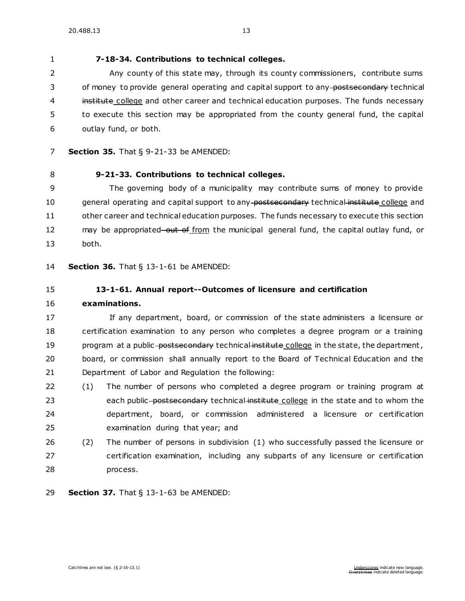**[7-18-34. C](https://sdlegislature.gov/Statutes/Codified_Laws/DisplayStatute.aspx?Type=Statute&Statute=7-18-34)ontributions to technical colleges.** 

 Any county of this state may, through its county commissioners, contribute sums 3 of money to provide general operating and capital support to any postsecondary technical 4 institute college and other career and technical education purposes. The funds necessary to execute this section may be appropriated from the county general fund, the capital outlay fund, or both.

- **Section 35.** [That § 9-21-33 be AMENDED:](https://sdlegislature.gov/Statutes/Codified_Laws/DisplayStatute.aspx?Type=Statute&Statute=9-21-33)
- **[9-21-33. C](https://sdlegislature.gov/Statutes/Codified_Laws/DisplayStatute.aspx?Type=Statute&Statute=9-21-33)ontributions to technical colleges.**

 The governing body of a municipality may contribute sums of money to provide 10 general operating and capital support to any postsecondary technical institute college and other career and technical education purposes. The funds necessary to execute this section 12 may be appropriated–out of from the municipal general fund, the capital outlay fund, or both.

**Section 36.** [That § 13-1-61 be AMENDED:](https://sdlegislature.gov/Statutes/Codified_Laws/DisplayStatute.aspx?Type=Statute&Statute=13-1-61)

- **[13-1-61. A](https://sdlegislature.gov/Statutes/Codified_Laws/DisplayStatute.aspx?Type=Statute&Statute=13-1-61)nnual report--Outcomes of licensure and certification**
- **examinations.**

 If any department, board, or commission of the state administers a licensure or certification examination to any person who completes a degree program or a training 19 program at a public-postsecondary technical institute college in the state, the department, board, or commission shall annually report to the Board of Technical Education and the Department of Labor and Regulation the following:

- (1) The number of persons who completed a degree program or training program at 23 each public postsecondary technical institute college in the state and to whom the department, board, or commission administered a licensure or certification examination during that year; and
- (2) The number of persons in subdivision (1) who successfully passed the licensure or certification examination, including any subparts of any licensure or certification process.

**Section 37.** [That § 13-1-63 be AMENDED:](https://sdlegislature.gov/Statutes/Codified_Laws/DisplayStatute.aspx?Type=Statute&Statute=13-1-63)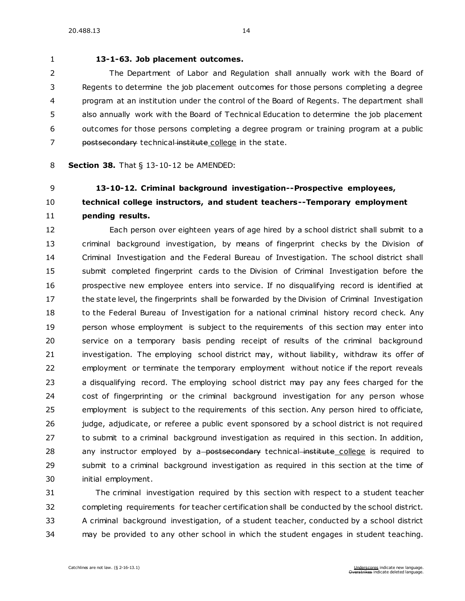# **[13-1-63. J](https://sdlegislature.gov/Statutes/Codified_Laws/DisplayStatute.aspx?Type=Statute&Statute=13-1-63)ob placement outcomes.**

 The Department of Labor and Regulation shall annually work with the Board of Regents to determine the job placement outcomes for those persons completing a degree program at an institution under the control of the Board of Regents. The department shall also annually work with the Board of Technical Education to determine the job placement outcomes for those persons completing a degree program or training program at a public 7 postsecondary technical institute college in the state.

# **Section 38.** [That § 13-10-12 be AMENDED:](https://sdlegislature.gov/Statutes/Codified_Laws/DisplayStatute.aspx?Type=Statute&Statute=13-10-12)

# **[13-10-12. C](https://sdlegislature.gov/Statutes/Codified_Laws/DisplayStatute.aspx?Type=Statute&Statute=13-10-12)riminal background investigation--Prospective employees, technical college instructors, and student teachers--Temporary employment**

# **pending results.**

 Each person over eighteen years of age hired by a school district shall submit to a criminal background investigation, by means of fingerprint checks by the Division of Criminal Investigation and the Federal Bureau of Investigation. The school district shall submit completed fingerprint cards to the Division of Criminal Investigation before the prospective new employee enters into service. If no disqualifying record is identified at the state level, the fingerprints shall be forwarded by the Division of Criminal Investigation 18 to the Federal Bureau of Investigation for a national criminal history record check. Any person whose employment is subject to the requirements of this section may enter into service on a temporary basis pending receipt of results of the criminal background investigation. The employing school district may, without liability, withdraw its offer of employment or terminate the temporary employment without notice if the report reveals a disqualifying record. The employing school district may pay any fees charged for the cost of fingerprinting or the criminal background investigation for any person whose employment is subject to the requirements of this section. Any person hired to officiate, 26 judge, adjudicate, or referee a public event sponsored by a school district is not required to submit to a criminal background investigation as required in this section. In addition, 28 any instructor employed by a-postsecondary technical institute college is required to submit to a criminal background investigation as required in this section at the time of initial employment.

 The criminal investigation required by this section with respect to a student teacher completing requirements for teacher certification shall be conducted by the school district. A criminal background investigation, of a student teacher, conducted by a school district may be provided to any other school in which the student engages in student teaching.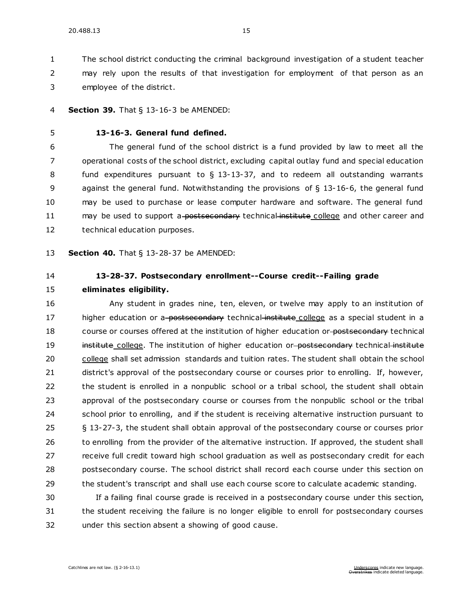The school district conducting the criminal background investigation of a student teacher may rely upon the results of that investigation for employment of that person as an employee of the district.

- **Section 39.** [That § 13-16-3 be AMENDED:](https://sdlegislature.gov/Statutes/Codified_Laws/DisplayStatute.aspx?Type=Statute&Statute=13-16-3)
- 

## **[13-16-3. G](https://sdlegislature.gov/Statutes/Codified_Laws/DisplayStatute.aspx?Type=Statute&Statute=13-16-3)eneral fund defined.**

 The general fund of the school district is a fund provided by law to meet all the operational costs of the school district, excluding capital outlay fund and special education fund expenditures pursuant to § [13-13-37,](https://sdlegislature.gov/Statutes/Codified_Laws/DisplayStatute.aspx?Type=Statute&Statute=13-13-37) and to redeem all outstanding warrants against the general fund. Notwithstanding the provisions of § [13-16-6,](https://sdlegislature.gov/Statutes/Codified_Laws/DisplayStatute.aspx?Type=Statute&Statute=13-16-6) the general fund may be used to purchase or lease computer hardware and software. The general fund 11 may be used to support a-postsecondary technical institute college and other career and technical education purposes.

**Section 40.** [That § 13-28-37 be AMENDED:](https://sdlegislature.gov/Statutes/Codified_Laws/DisplayStatute.aspx?Type=Statute&Statute=13-28-37)

# **[13-28-37. P](https://sdlegislature.gov/Statutes/Codified_Laws/DisplayStatute.aspx?Type=Statute&Statute=13-28-37)ostsecondary enrollment--Course credit--Failing grade**

**eliminates eligibility.** 

 Any student in grades nine, ten, eleven, or twelve may apply to an institution of 17 higher education or a-postsecondary technical institute college as a special student in a 18 course or courses offered at the institution of higher education or postsecondary technical 19 institute college. The institution of higher education or postsecondary technical institute 20 college shall set admission standards and tuition rates. The student shall obtain the school district's approval of the postsecondary course or courses prior to enrolling. If, however, the student is enrolled in a nonpublic school or a tribal school, the student shall obtain approval of the postsecondary course or courses from the nonpublic school or the tribal school prior to enrolling, and if the student is receiving alternative instruction pursuant to § [13-27-3,](https://sdlegislature.gov/Statutes/Codified_Laws/DisplayStatute.aspx?Type=Statute&Statute=13-27-3) the student shall obtain approval of the postsecondary course or courses prior 26 to enrolling from the provider of the alternative instruction. If approved, the student shall receive full credit toward high school graduation as well as postsecondary credit for each postsecondary course. The school district shall record each course under this section on the student's transcript and shall use each course score to calculate academic standing.

 If a failing final course grade is received in a postsecondary course under this section, the student receiving the failure is no longer eligible to enroll for postsecondary courses under this section absent a showing of good cause.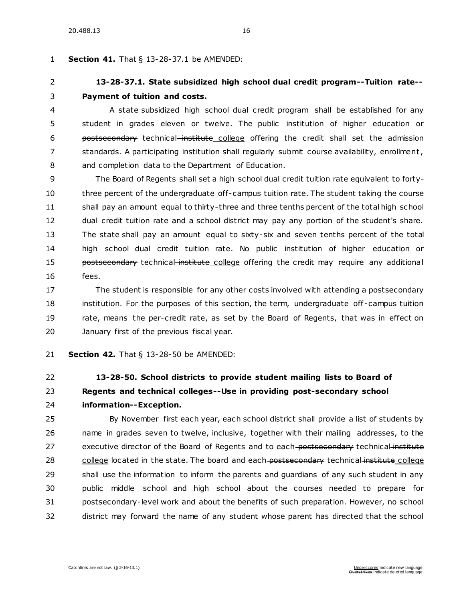# **Section 41.** [That § 13-28-37.1 be AMENDED:](https://sdlegislature.gov/Statutes/Codified_Laws/DisplayStatute.aspx?Type=Statute&Statute=13-28-37.1)

# **[13-28-37.1. S](https://sdlegislature.gov/Statutes/Codified_Laws/DisplayStatute.aspx?Type=Statute&Statute=13-28-37.1)tate subsidized high school dual credit program--Tuition rate-- Payment of tuition and costs.**

 A state subsidized high school dual credit program shall be established for any student in grades eleven or twelve. The public institution of higher education or **postsecondary** technical institute college offering the credit shall set the admission 7 standards. A participating institution shall regularly submit course availability, enrollment, and completion data to the Department of Education.

 The Board of Regents shall set a high school dual credit tuition rate equivalent to forty- three percent of the undergraduate off-campus tuition rate. The student taking the course shall pay an amount equal to thirty-three and three tenths percent of the total high school dual credit tuition rate and a school district may pay any portion of the student's share. The state shall pay an amount equal to sixty-six and seven tenths percent of the total high school dual credit tuition rate. No public institution of higher education or **postsecondary** technical institute college offering the credit may require any additional fees.

 The student is responsible for any other costs involved with attending a postsecondary institution. For the purposes of this section, the term, undergraduate off -campus tuition rate, means the per-credit rate, as set by the Board of Regents, that was in effect on January first of the previous fiscal year.

**Section 42.** [That § 13-28-50 be AMENDED:](https://sdlegislature.gov/Statutes/Codified_Laws/DisplayStatute.aspx?Type=Statute&Statute=13-28-50)

# **[13-28-50. S](https://sdlegislature.gov/Statutes/Codified_Laws/DisplayStatute.aspx?Type=Statute&Statute=13-28-50)chool districts to provide student mailing lists to Board of Regents and technical colleges--Use in providing post-secondary school information--Exception.**

 By November first each year, each school district shall provide a list of students by name in grades seven to twelve, inclusive, together with their mailing addresses, to the 27 executive director of the Board of Regents and to each-postsecondary technical institute 28 college located in the state. The board and each postsecondary technical institute college shall use the information to inform the parents and guardians of any such student in any public middle school and high school about the courses needed to prepare for postsecondary-level work and about the benefits of such preparation. However, no school district may forward the name of any student whose parent has directed that the school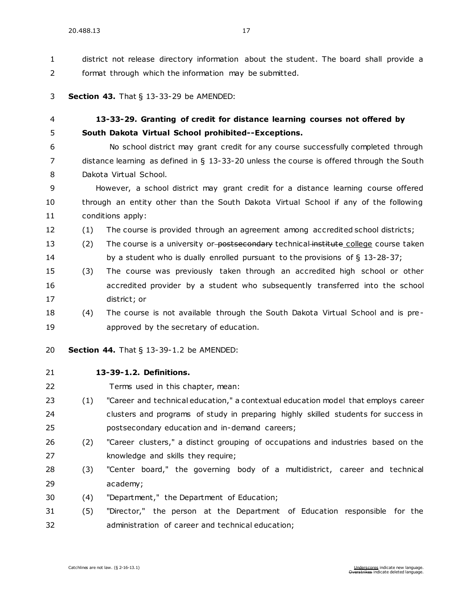district not release directory information about the student. The board shall provide a format through which the information may be submitted.

#### **Section 43.** [That § 13-33-29 be AMENDED:](https://sdlegislature.gov/Statutes/Codified_Laws/DisplayStatute.aspx?Type=Statute&Statute=13-33-29)

# **[13-33-29. G](https://sdlegislature.gov/Statutes/Codified_Laws/DisplayStatute.aspx?Type=Statute&Statute=13-33-29)ranting of credit for distance learning courses not offered by South Dakota Virtual School prohibited--Exceptions.**

 No school district may grant credit for any course successfully completed through distance learning as defined in § [13-33-20](https://sdlegislature.gov/Statutes/Codified_Laws/DisplayStatute.aspx?Type=Statute&Statute=13-33-20) unless the course is offered through the South Dakota Virtual School.

 However, a school district may grant credit for a distance learning course offered through an entity other than the South Dakota Virtual School if any of the following conditions apply:

(1) The course is provided through an agreement among accredited school districts;

13 (2) The course is a university or-postsecondary technical institute college course taken by a student who is dually enrolled pursuant to the provisions of § [13-28-37;](https://sdlegislature.gov/Statutes/Codified_Laws/DisplayStatute.aspx?Type=Statute&Statute=13-28-37)

- (3) The course was previously taken through an accredited high school or other accredited provider by a student who subsequently transferred into the school district; or
- (4) The course is not available through the South Dakota Virtual School and is pre-approved by the secretary of education.

**Section 44.** [That § 13-39-1.2 be AMENDED:](https://sdlegislature.gov/Statutes/Codified_Laws/DisplayStatute.aspx?Type=Statute&Statute=13-39-1.2)

- **[13-39-1.2. D](https://sdlegislature.gov/Statutes/Codified_Laws/DisplayStatute.aspx?Type=Statute&Statute=13-39-1.2)efinitions.**
- Terms used in this chapter, mean:
- (1) "Career and technical education," a contextual education model that employs career clusters and programs of study in preparing highly skilled students for success in postsecondary education and in-demand careers;
- (2) "Career clusters," a distinct grouping of occupations and industries based on the knowledge and skills they require;
- (3) "Center board," the governing body of a multidistrict, career and technical academy;
- (4) "Department," the Department of Education;

 (5) "Director," the person at the Department of Education responsible for the administration of career and technical education;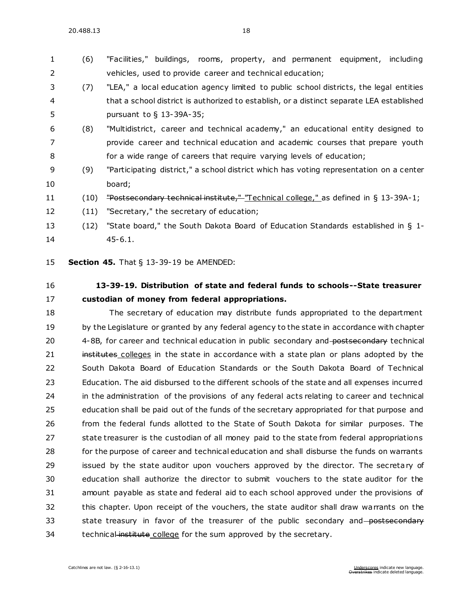# (6) "Facilities," buildings, rooms, property, and permanent equipment, including vehicles, used to provide career and technical education;

- (7) "LEA," a local education agency limited to public school districts, the legal entities that a school district is authorized to establish, or a distinct separate LEA established pursuant to § [13-39A-35;](https://sdlegislature.gov/Statutes/Codified_Laws/DisplayStatute.aspx?Type=Statute&Statute=13-39A-35)
- (8) "Multidistrict, career and technical academy," an educational entity designed to provide career and technical education and academic courses that prepare youth for a wide range of careers that require varying levels of education;
- (9) "Participating district," a school district which has voting representation on a center board;
- 11 (10) "Postsecondary technical institute," "Technical college," as defined in § [13-39A-1;](https://sdlegislature.gov/Statutes/Codified_Laws/DisplayStatute.aspx?Type=Statute&Statute=13-39A-1)
- (11) "Secretary," the secretary of education;
- (12) "State board," the South Dakota Board of Education Standards established in § [1-](https://sdlegislature.gov/Statutes/Codified_Laws/DisplayStatute.aspx?Type=Statute&Statute=1-45-6.1) [45-6.1.](https://sdlegislature.gov/Statutes/Codified_Laws/DisplayStatute.aspx?Type=Statute&Statute=1-45-6.1)

**Section 45.** [That § 13-39-19 be AMENDED:](https://sdlegislature.gov/Statutes/Codified_Laws/DisplayStatute.aspx?Type=Statute&Statute=13-39-19)

# **[13-39-19. D](https://sdlegislature.gov/Statutes/Codified_Laws/DisplayStatute.aspx?Type=Statute&Statute=13-39-19)istribution of state and federal funds to schools--State treasurer custodian of money from federal appropriations.**

 The secretary of education may distribute funds appropriated to the department 19 by the Legislature or granted by any federal agency to the state in accordance with chapter [4-8B,](https://sdlegislature.gov/Statutes/Codified_Laws/DisplayStatute.aspx?Type=Statute&Statute=4-8B) for career and technical education in public secondary and postsecondary technical 21 institutes colleges in the state in accordance with a state plan or plans adopted by the South Dakota Board of Education Standards or the South Dakota Board of Technical Education. The aid disbursed to the different schools of the state and all expenses incurred in the administration of the provisions of any federal acts relating to career and technical education shall be paid out of the funds of the secretary appropriated for that purpose and from the federal funds allotted to the State of South Dakota for similar purposes. The 27 state treasurer is the custodian of all money paid to the state from federal appropriations for the purpose of career and technical education and shall disburse the funds on warrants issued by the state auditor upon vouchers approved by the director. The secretary of education shall authorize the director to submit vouchers to the state auditor for the amount payable as state and federal aid to each school approved under the provisions of this chapter. Upon receipt of the vouchers, the state auditor shall draw warrants on the 33 state treasury in favor of the treasurer of the public secondary and postsecondary 34 technical institute college for the sum approved by the secretary.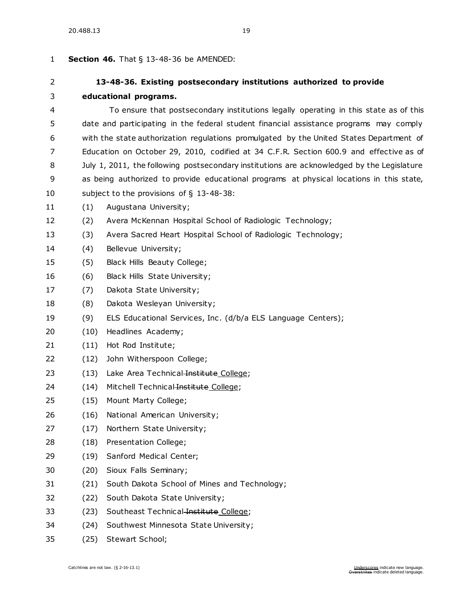| <b>Section 46.</b> That $\S$ 13-48-36 be AMENDED:<br>1 |                                                                                            |                                                                     |
|--------------------------------------------------------|--------------------------------------------------------------------------------------------|---------------------------------------------------------------------|
| $\overline{2}$                                         |                                                                                            | 13-48-36. Existing postsecondary institutions authorized to provide |
| 3                                                      | educational programs.                                                                      |                                                                     |
| 4                                                      | To ensure that postsecondary institutions legally operating in this state as of this       |                                                                     |
| 5                                                      | date and participating in the federal student financial assistance programs may comply     |                                                                     |
| 6                                                      | with the state authorization regulations promulgated by the United States Department of    |                                                                     |
| 7                                                      | Education on October 29, 2010, codified at 34 C.F.R. Section 600.9 and effective as of     |                                                                     |
| 8                                                      | July 1, 2011, the following postsecondary institutions are acknowledged by the Legislature |                                                                     |
| 9                                                      | as being authorized to provide educational programs at physical locations in this state,   |                                                                     |
| 10                                                     | subject to the provisions of $\S$ 13-48-38:                                                |                                                                     |
| 11                                                     | (1)                                                                                        | Augustana University;                                               |
| 12                                                     | (2)                                                                                        | Avera McKennan Hospital School of Radiologic Technology;            |
| 13                                                     | (3)                                                                                        | Avera Sacred Heart Hospital School of Radiologic Technology;        |
| 14                                                     | (4)                                                                                        | Bellevue University;                                                |
| 15                                                     | (5)                                                                                        | Black Hills Beauty College;                                         |
| 16                                                     | (6)                                                                                        | Black Hills State University;                                       |
| 17                                                     | (7)                                                                                        | Dakota State University;                                            |
| 18                                                     | (8)                                                                                        | Dakota Wesleyan University;                                         |
| 19                                                     | (9)                                                                                        | ELS Educational Services, Inc. (d/b/a ELS Language Centers);        |
| 20                                                     | (10)                                                                                       | Headlines Academy;                                                  |
| 21                                                     | (11)                                                                                       | Hot Rod Institute;                                                  |
| 22                                                     | (12)                                                                                       | John Witherspoon College;                                           |
| 23                                                     | (13)                                                                                       | Lake Area Technical Institute College;                              |
| 24                                                     | (14)                                                                                       | Mitchell Technical Institute College;                               |
| 25                                                     | (15)                                                                                       | Mount Marty College;                                                |
| 26                                                     | (16)                                                                                       | National American University;                                       |
| 27                                                     | (17)                                                                                       | Northern State University;                                          |
| 28                                                     | (18)                                                                                       | Presentation College;                                               |
| 29                                                     | (19)                                                                                       | Sanford Medical Center;                                             |
| 30                                                     | (20)                                                                                       | Sioux Falls Seminary;                                               |
| 31                                                     | (21)                                                                                       | South Dakota School of Mines and Technology;                        |
| 32                                                     | (22)                                                                                       | South Dakota State University;                                      |
| 33                                                     | (23)                                                                                       | Southeast Technical Institute College;                              |
| 34                                                     | (24)                                                                                       | Southwest Minnesota State University;                               |

(25) Stewart School;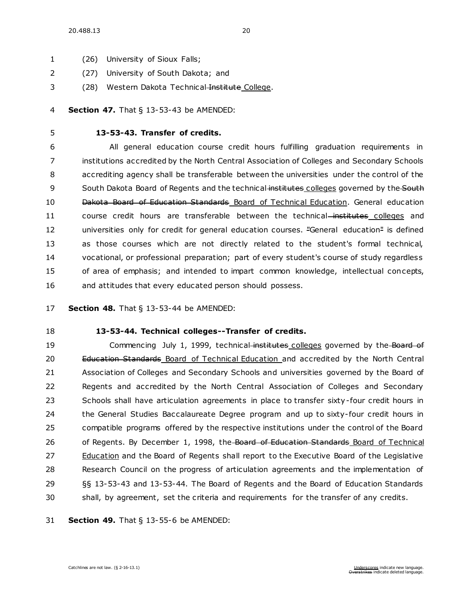- (26) University of Sioux Falls;
- (27) University of South Dakota; and
- 3 (28) Western Dakota Technical Institute College.

#### **Section 47.** [That § 13-53-43 be AMENDED:](https://sdlegislature.gov/Statutes/Codified_Laws/DisplayStatute.aspx?Type=Statute&Statute=13-53-43)

# **[13-53-43. T](https://sdlegislature.gov/Statutes/Codified_Laws/DisplayStatute.aspx?Type=Statute&Statute=13-53-43)ransfer of credits.**

 All general education course credit hours fulfilling graduation requirements in institutions accredited by the North Central Association of Colleges and Secondary Schools accrediting agency shall be transferable between the universities under the control of the 9 South Dakota Board of Regents and the technical institutes colleges governed by the South Dakota Board of Education Standards Board of Technical Education. General education 11 course credit hours are transferable between the technical-institutes colleges and 12 universities only for credit for general education courses. "General education" is defined as those courses which are not directly related to the student's formal technical, vocational, or professional preparation; part of every student's course of study regardless of area of emphasis; and intended to impart common knowledge, intellectual concepts, and attitudes that every educated person should possess.

## **Section 48.** [That § 13-53-44 be AMENDED:](https://sdlegislature.gov/Statutes/Codified_Laws/DisplayStatute.aspx?Type=Statute&Statute=13-53-44)

# **[13-53-44. T](https://sdlegislature.gov/Statutes/Codified_Laws/DisplayStatute.aspx?Type=Statute&Statute=13-53-44)echnical colleges--Transfer of credits.**

19 Commencing July 1, 1999, technical institutes colleges governed by the Board of 20 Education Standards Board of Technical Education and accredited by the North Central Association of Colleges and Secondary Schools and universities governed by the Board of Regents and accredited by the North Central Association of Colleges and Secondary 23 Schools shall have articulation agreements in place to transfer sixty-four credit hours in the General Studies Baccalaureate Degree program and up to sixty-four credit hours in compatible programs offered by the respective institutions under the control of the Board 26 of Regents. By December 1, 1998, the Board of Education Standards Board of Technical Education and the Board of Regents shall report to the Executive Board of the Legislative Research Council on the progress of articulation agreements and the implementation of §§ [13-53-43](https://sdlegislature.gov/Statutes/Codified_Laws/DisplayStatute.aspx?Type=Statute&Statute=13-53-43) and [13-53-44.](https://sdlegislature.gov/Statutes/Codified_Laws/DisplayStatute.aspx?Type=Statute&Statute=13-53-44) The Board of Regents and the Board of Education Standards shall, by agreement, set the criteria and requirements for the transfer of any credits.

**Section 49.** [That § 13-55-6 be AMENDED:](https://sdlegislature.gov/Statutes/Codified_Laws/DisplayStatute.aspx?Type=Statute&Statute=13-55-6)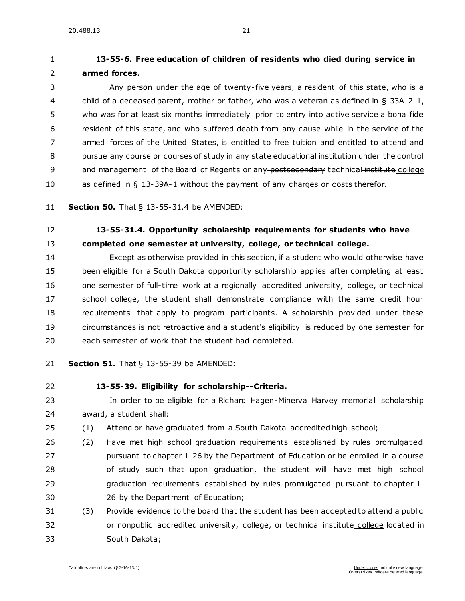# **[13-55-6. F](https://sdlegislature.gov/Statutes/Codified_Laws/DisplayStatute.aspx?Type=Statute&Statute=13-55-6)ree education of children of residents who died during service in armed forces.**

 Any person under the age of twenty-five years, a resident of this state, who is a child of a deceased parent, mother or father, who was a veteran as defined in § [33A-2-1,](https://sdlegislature.gov/Statutes/Codified_Laws/DisplayStatute.aspx?Type=Statute&Statute=33A-2-1) who was for at least six months immediately prior to entry into active service a bona fide resident of this state, and who suffered death from any cause while in the service of the armed forces of the United States, is entitled to free tuition and entitled to attend and pursue any course or courses of study in any state educational institution under the control 9 and management of the Board of Regents or any postsecondary technical institute college as defined in § [13-39A-1](https://sdlegislature.gov/Statutes/Codified_Laws/DisplayStatute.aspx?Type=Statute&Statute=13-39A-1) without the payment of any charges or costs therefor.

**Section 50.** [That § 13-55-31.4 be AMENDED:](https://sdlegislature.gov/Statutes/Codified_Laws/DisplayStatute.aspx?Type=Statute&Statute=13-55-31.4)

# **[13-55-31.4. O](https://sdlegislature.gov/Statutes/Codified_Laws/DisplayStatute.aspx?Type=Statute&Statute=13-55-31.4)pportunity scholarship requirements for students who have completed one semester at university, college, or technical college.**

 Except as otherwise provided in this section, if a student who would otherwise have been eligible for a South Dakota opportunity scholarship applies after completing at least one semester of full-time work at a regionally accredited university, college, or technical 17 school college, the student shall demonstrate compliance with the same credit hour requirements that apply to program participants. A scholarship provided under these circumstances is not retroactive and a student's eligibility is reduced by one semester for each semester of work that the student had completed.

**Section 51.** [That § 13-55-39 be AMENDED:](https://sdlegislature.gov/Statutes/Codified_Laws/DisplayStatute.aspx?Type=Statute&Statute=13-55-39)

#### **[13-55-39. E](https://sdlegislature.gov/Statutes/Codified_Laws/DisplayStatute.aspx?Type=Statute&Statute=13-55-39)ligibility for scholarship--Criteria.**

 In order to be eligible for a Richard Hagen-Minerva Harvey memorial scholarship award, a student shall:

- (1) Attend or have graduated from a South Dakota accredited high school;
- (2) Have met high school graduation requirements established by rules promulgat ed pursuant to chapter [1-26](https://sdlegislature.gov/Statutes/Codified_Laws/DisplayStatute.aspx?Type=Statute&Statute=1-26) by the Department of Education or be enrolled in a course of study such that upon graduation, the student will have met high school graduation requirements established by rules promulgated pursuant to chapter [1-](https://sdlegislature.gov/Statutes/Codified_Laws/DisplayStatute.aspx?Type=Statute&Statute=1-26) [26](https://sdlegislature.gov/Statutes/Codified_Laws/DisplayStatute.aspx?Type=Statute&Statute=1-26) by the Department of Education;
- (3) Provide evidence to the board that the student has been accepted to attend a public 32 or nonpublic accredited university, college, or technical-institute college located in South Dakota;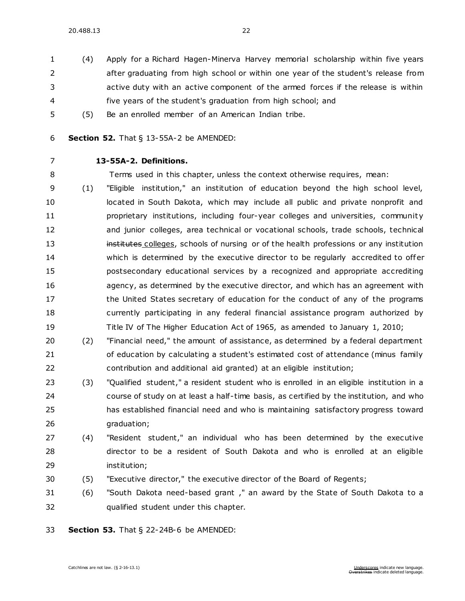- (4) Apply for a Richard Hagen-Minerva Harvey memorial scholarship within five years after graduating from high school or within one year of the student's release from active duty with an active component of the armed forces if the release is within five years of the student's graduation from high school; and
- (5) Be an enrolled member of an American Indian tribe.
- **Section 52.** [That § 13-55A-2 be AMENDED:](https://sdlegislature.gov/Statutes/Codified_Laws/DisplayStatute.aspx?Type=Statute&Statute=13-55A-2)
- 

# **[13-55A-2. D](https://sdlegislature.gov/Statutes/Codified_Laws/DisplayStatute.aspx?Type=Statute&Statute=13-55A-2)efinitions.**

Terms used in this chapter, unless the context otherwise requires, mean:

- (1) "Eligible institution," an institution of education beyond the high school level, 10 located in South Dakota, which may include all public and private nonprofit and **proprietary institutions, including four-year colleges and universities, community**  and junior colleges, area technical or vocational schools, trade schools, technical **institutes colleges, schools of nursing or of the health professions or any institution**  which is determined by the executive director to be regularly accredited to offer postsecondary educational services by a recognized and appropriate accrediting agency, as determined by the executive director, and which has an agreement with 17 the United States secretary of education for the conduct of any of the programs currently participating in any federal financial assistance program authorized by Title IV of The Higher Education Act of 1965, as amended to January 1, 2010;
- (2) "Financial need," the amount of assistance, as determined by a federal department of education by calculating a student's estimated cost of attendance (minus family contribution and additional aid granted) at an eligible institution;
- (3) "Qualified student," a resident student who is enrolled in an eligible institution in a course of study on at least a half-time basis, as certified by the institution, and who has established financial need and who is maintaining satisfactory progress toward graduation;
- (4) "Resident student," an individual who has been determined by the executive director to be a resident of South Dakota and who is enrolled at an eligible institution;
- (5) "Executive director," the executive director of the Board of Regents;
- (6) "South Dakota need-based grant ," an award by the State of South Dakota to a qualified student under this chapter.
- **Section 53.** [That § 22-24B-6 be AMENDED:](https://sdlegislature.gov/Statutes/Codified_Laws/DisplayStatute.aspx?Type=Statute&Statute=22-24B-6)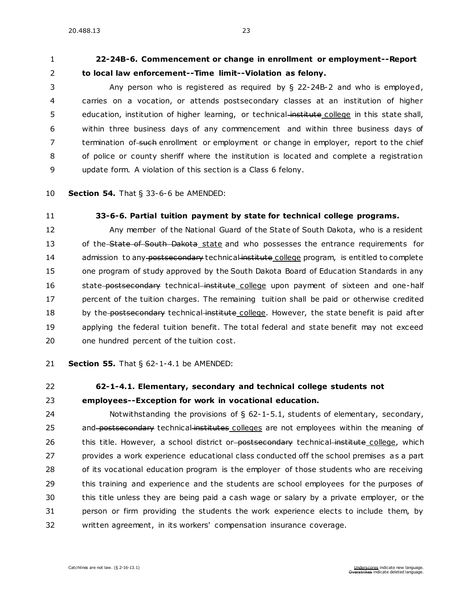# **[22-24B-6. C](https://sdlegislature.gov/Statutes/Codified_Laws/DisplayStatute.aspx?Type=Statute&Statute=22-24B-6)ommencement or change in enrollment or employment--Report to local law enforcement--Time limit--Violation as felony.**

 Any person who is registered as required by § [22-24B-2](https://sdlegislature.gov/Statutes/Codified_Laws/DisplayStatute.aspx?Type=Statute&Statute=22-24B-2) and who is employed, carries on a vocation, or attends postsecondary classes at an institution of higher 5 education, institution of higher learning, or technical-institute college in this state shall, within three business days of any commencement and within three business days of 7 termination of such enrollment or employment or change in employer, report to the chief of police or county sheriff where the institution is located and complete a registration update form. A violation of this section is a Class 6 felony.

**Section 54.** [That § 33-6-6 be AMENDED:](https://sdlegislature.gov/Statutes/Codified_Laws/DisplayStatute.aspx?Type=Statute&Statute=33-6-6)

#### **[33-6-6. P](https://sdlegislature.gov/Statutes/Codified_Laws/DisplayStatute.aspx?Type=Statute&Statute=33-6-6)artial tuition payment by state for technical college programs.**

 Any member of the National Guard of the State of South Dakota, who is a resident 13 of the State of South Dakota state and who possesses the entrance requirements for 14 admission to any postsecondary technical institute college program, is entitled to complete one program of study approved by the South Dakota Board of Education Standards in any 16 state postsecondary technical institute college upon payment of sixteen and one-half 17 percent of the tuition charges. The remaining tuition shall be paid or otherwise credited 18 by the postsecondary technical institute college. However, the state benefit is paid after applying the federal tuition benefit. The total federal and state benefit may not exceed one hundred percent of the tuition cost.

**Section 55.** [That § 62-1-4.1 be AMENDED:](https://sdlegislature.gov/Statutes/Codified_Laws/DisplayStatute.aspx?Type=Statute&Statute=62-1-4.1)

#### **[62-1-4.1. E](https://sdlegislature.gov/Statutes/Codified_Laws/DisplayStatute.aspx?Type=Statute&Statute=62-1-4.1)lementary, secondary and technical college students not**

# **employees--Exception for work in vocational education.**

 Notwithstanding the provisions of § [62-1-5.1,](https://sdlegislature.gov/Statutes/Codified_Laws/DisplayStatute.aspx?Type=Statute&Statute=62-1-5.1) students of elementary, secondary, 25 and postsecondary technical institutes colleges are not employees within the meaning of 26 this title. However, a school district or postsecondary technical institute college, which provides a work experience educational class conducted off the school premises as a part of its vocational education program is the employer of those students who are receiving this training and experience and the students are school employees for the purposes of this title unless they are being paid a cash wage or salary by a private employer, or the person or firm providing the students the work experience elects to include them, by written agreement, in its workers' compensation insurance coverage.